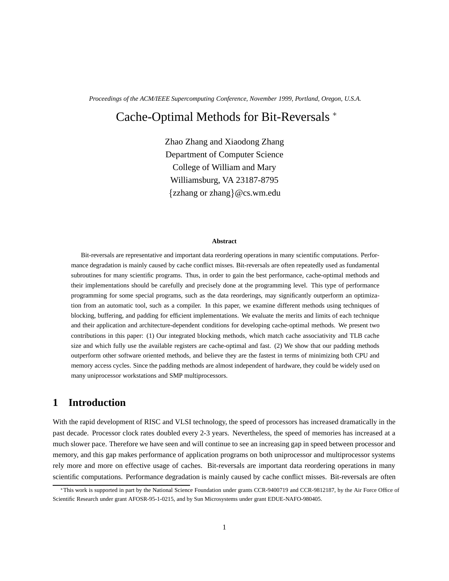*Proceedings of the ACM/IEEE Supercomputing Conference, November 1999, Portland, Oregon, U.S.A.*

# Cache-Optimal Methods for Bit-Reversals

Zhao Zhang and Xiaodong Zhang Department of Computer Science College of William and Mary Williamsburg, VA 23187-8795  ${zzhang or zhang}$ @cs.wm.edu

#### **Abstract**

Bit-reversals are representative and important data reordering operations in many scientific computations. Performance degradation is mainly caused by cache conflict misses. Bit-reversals are often repeatedly used as fundamental subroutines for many scientific programs. Thus, in order to gain the best performance, cache-optimal methods and their implementations should be carefully and precisely done at the programming level. This type of performance programming for some special programs, such as the data reorderings, may significantly outperform an optimization from an automatic tool, such as a compiler. In this paper, we examine different methods using techniques of blocking, buffering, and padding for efficient implementations. We evaluate the merits and limits of each technique and their application and architecture-dependent conditions for developing cache-optimal methods. We present two contributions in this paper: (1) Our integrated blocking methods, which match cache associativity and TLB cache size and which fully use the available registers are cache-optimal and fast. (2) We show that our padding methods outperform other software oriented methods, and believe they are the fastest in terms of minimizing both CPU and memory access cycles. Since the padding methods are almost independent of hardware, they could be widely used on many uniprocessor workstations and SMP multiprocessors.

# **1 Introduction**

With the rapid development of RISC and VLSI technology, the speed of processors has increased dramatically in the past decade. Processor clock rates doubled every 2-3 years. Nevertheless, the speed of memories has increased at a much slower pace. Therefore we have seen and will continue to see an increasing gap in speed between processor and memory, and this gap makes performance of application programs on both uniprocessor and multiprocessor systems rely more and more on effective usage of caches. Bit-reversals are important data reordering operations in many scientific computations. Performance degradation is mainly caused by cache conflict misses. Bit-reversals are often

This work is supported in part by the National Science Foundation under grants CCR-9400719 and CCR-9812187, by the Air Force Office of Scientific Research under grant AFOSR-95-1-0215, and by Sun Microsystems under grant EDUE-NAFO-980405.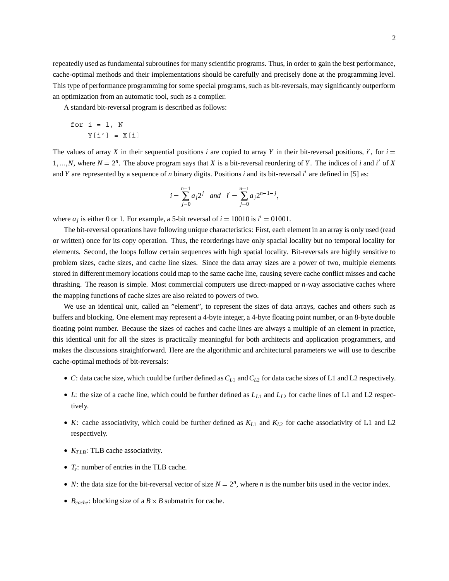repeatedly used as fundamental subroutines for many scientific programs. Thus, in order to gain the best performance, cache-optimal methods and their implementations should be carefully and precisely done at the programming level. This type of performance programming for some special programs, such as bit-reversals, may significantly outperform an optimization from an automatic tool, such as a compiler.

A standard bit-reversal program is described as follows:

$$
\begin{aligned}\nfor i &= 1, N \\
Y[i'] &= X[i]\n\end{aligned}
$$

The values of array X in their sequential positions *i* are copied to array Y in their bit-reversal positions, *i'*, for  $i =$  $1, ..., N$ , where  $N = 2<sup>n</sup>$ . The above program says that *X* is a bit-reversal reordering of *Y*. The indices of *i* and *i*' of *X* and *Y* are represented by a sequence of *n* binary digits. Positions *i* and its bit-reversal *i'* are defined in [5] as:

$$
i = \sum_{j=0}^{n-1} a_j 2^j
$$
 and  $i' = \sum_{j=0}^{n-1} a_j 2^{n-1-j}$ ,

where  $a_j$  is either 0 or 1. For example, a 5-bit reversal of  $i = 10010$  is  $i' = 01001$ .

The bit-reversal operations have following unique characteristics: First, each element in an array is only used (read or written) once for its copy operation. Thus, the reorderings have only spacial locality but no temporal locality for elements. Second, the loops follow certain sequences with high spatial locality. Bit-reversals are highly sensitive to problem sizes, cache sizes, and cache line sizes. Since the data array sizes are a power of two, multiple elements stored in different memory locations could map to the same cache line, causing severe cache conflict misses and cache thrashing. The reason is simple. Most commercial computers use direct-mapped or *n*-way associative caches where the mapping functions of cache sizes are also related to powers of two.

We use an identical unit, called an "element", to represent the sizes of data arrays, caches and others such as buffers and blocking. One element may represent a 4-byte integer, a 4-byte floating point number, or an 8-byte double floating point number. Because the sizes of caches and cache lines are always a multiple of an element in practice, this identical unit for all the sizes is practically meaningful for both architects and application programmers, and makes the discussions straightforward. Here are the algorithmic and architectural parameters we will use to describe cache-optimal methods of bit-reversals:

- *C*: data cache size, which could be further defined as *CL*<sup>1</sup> and*CL*<sup>2</sup> for data cache sizes of L1 and L2 respectively.
- *L*: the size of a cache line, which could be further defined as *LL*<sup>1</sup> and *LL*<sup>2</sup> for cache lines of L1 and L2 respectively.
- *K*: cache associativity, which could be further defined as  $K_{L1}$  and  $K_{L2}$  for cache associativity of L1 and L2 respectively.
- $K_{TLB}$ : TLB cache associativity.
- *Ts*: number of entries in the TLB cache.
- *N*: the data size for the bit-reversal vector of size  $N = 2^n$ , where *n* is the number bits used in the vector index.
- $B_{cache}$ : blocking size of a  $B \times B$  submatrix for cache.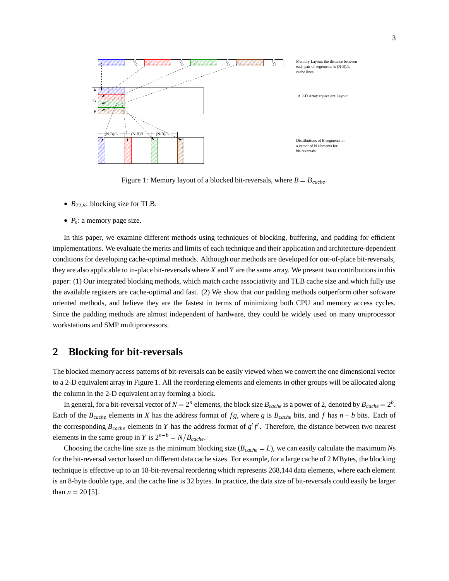

Figure 1: Memory layout of a blocked bit-reversals, where  $B = B_{cache}$ .

- $B_{TLB}$ : blocking size for TLB.
- *P<sub>s</sub>*: a memory page size.

In this paper, we examine different methods using techniques of blocking, buffering, and padding for efficient implementations. We evaluate the merits and limits of each technique and their application and architecture-dependent conditions for developing cache-optimal methods. Although our methods are developed for out-of-place bit-reversals, they are also applicable to in-place bit-reversals where *X* and *Y* are the same array. We present two contributions in this paper: (1) Our integrated blocking methods, which match cache associativity and TLB cache size and which fully use the available registers are cache-optimal and fast. (2) We show that our padding methods outperform other software oriented methods, and believe they are the fastest in terms of minimizing both CPU and memory access cycles. Since the padding methods are almost independent of hardware, they could be widely used on many uniprocessor workstations and SMP multiprocessors.

# **2 Blocking for bit-reversals**

The blocked memory access patterns of bit-reversals can be easily viewed when we convert the one dimensional vector to a 2-D equivalent array in Figure 1. All the reordering elements and elements in other groups will be allocated along the column in the 2-D equivalent array forming a block.

In general, for a bit-reversal vector of  $N = 2^n$  elements, the block size  $B_{cache}$  is a power of 2, denoted by  $B_{cache} = 2^b$ . Each of the  $B_{cache}$  elements in *X* has the address format of  $fg$ , where  $g$  is  $B_{cache}$  bits, and  $f$  has  $n - b$  bits. Each of the corresponding  $B_{cache}$  elements in *Y* has the address format of  $g'f'$ . Therefore, the distance between two nearest elements in the same group in *Y* is  $2^{n-b} = N/B_{cache}$ .

Choosing the cache line size as the minimum blocking size  $(B_{cache} = L)$ , we can easily calculate the maximum *Ns* for the bit-reversal vector based on different data cache sizes. For example, for a large cache of 2 MBytes, the blocking technique is effective up to an 18-bit-reversal reordering which represents 268,144 data elements, where each element is an 8-byte double type, and the cache line is 32 bytes. In practice, the data size of bit-reversals could easily be larger than  $n = 20$  [5].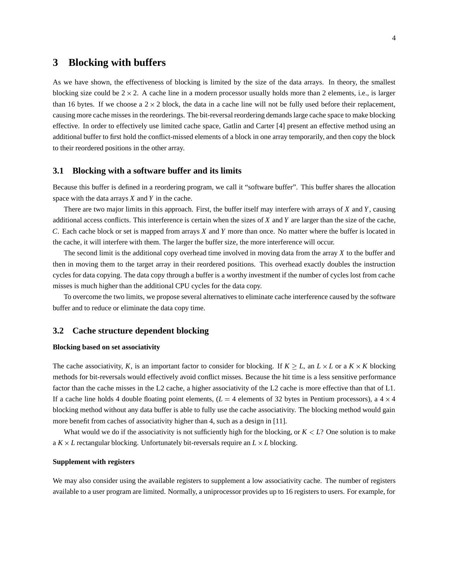# **3 Blocking with buffers**

As we have shown, the effectiveness of blocking is limited by the size of the data arrays. In theory, the smallest blocking size could be  $2 \times 2$ . A cache line in a modern processor usually holds more than 2 elements, i.e., is larger than 16 bytes. If we choose a  $2 \times 2$  block, the data in a cache line will not be fully used before their replacement, causing more cache misses in the reorderings. The bit-reversal reordering demands large cache space to make blocking effective. In order to effectively use limited cache space, Gatlin and Carter [4] present an effective method using an additional buffer to first hold the conflict-missed elements of a block in one array temporarily, and then copy the block to their reordered positions in the other array.

### **3.1 Blocking with a software buffer and its limits**

Because this buffer is defined in a reordering program, we call it "software buffer". This buffer shares the allocation space with the data arrays *X* and *Y* in the cache.

There are two major limits in this approach. First, the buffer itself may interfere with arrays of *X* and *Y*, causing additional access conflicts. This interference is certain when the sizes of *X* and *Y* are larger than the size of the cache, *C*. Each cache block or set is mapped from arrays *X* and *Y* more than once. No matter where the buffer is located in the cache, it will interfere with them. The larger the buffer size, the more interference will occur.

The second limit is the additional copy overhead time involved in moving data from the array *X* to the buffer and then in moving them to the target array in their reordered positions. This overhead exactly doubles the instruction cycles for data copying. The data copy through a buffer is a worthy investment if the number of cycles lost from cache misses is much higher than the additional CPU cycles for the data copy.

To overcome the two limits, we propose several alternatives to eliminate cache interference caused by the software buffer and to reduce or eliminate the data copy time.

### **3.2 Cache structure dependent blocking**

#### **Blocking based on set associativity**

The cache associativity, *K*, is an important factor to consider for blocking. If  $K \ge L$ , an  $L \times L$  or a  $K \times K$  blocking methods for bit-reversals would effectively avoid conflict misses. Because the hit time is a less sensitive performance factor than the cache misses in the L2 cache, a higher associativity of the L2 cache is more effective than that of L1. If a cache line holds 4 double floating point elements,  $(L = 4$  elements of 32 bytes in Pentium processors), a  $4 \times 4$ blocking method without any data buffer is able to fully use the cache associativity. The blocking method would gain more benefit from caches of associativity higher than 4, such as a design in [11].

What would we do if the associativity is not sufficiently high for the blocking, or  $K < L$ ? One solution is to make a  $K \times L$  rectangular blocking. Unfortunately bit-reversals require an  $L \times L$  blocking.

#### **Supplement with registers**

We may also consider using the available registers to supplement a low associativity cache. The number of registers available to a user program are limited. Normally, a uniprocessor provides up to 16 registers to users. For example, for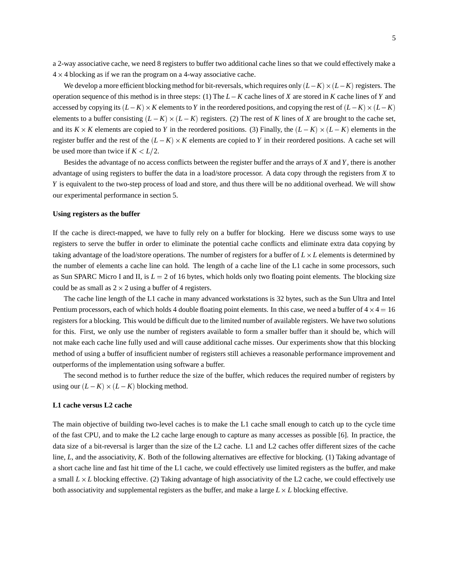a 2-way associative cache, we need 8 registers to buffer two additional cache lines so that we could effectively make a  $4 \times 4$  blocking as if we ran the program on a 4-way associative cache.

We develop a more efficient blocking method for bit-reversals, which requires only  $(L-K) \times (L-K)$  registers. The operation sequence of this method is in three steps: (1) The *L*-*K* cache lines of *X* are stored in *K* cache lines of *Y* and accessed by copying its  $(L-K) \times K$  elements to *Y* in the reordered positions, and copying the rest of  $(L-K) \times (L-K)$ elements to a buffer consisting  $(L - K) \times (L - K)$  registers. (2) The rest of *K* lines of *X* are brought to the cache set, and its  $K \times K$  elements are copied to Y in the reordered positions. (3) Finally, the  $(L-K) \times (L-K)$  elements in the register buffer and the rest of the  $(L - K) \times K$  elements are copied to *Y* in their reordered positions. A cache set will be used more than twice if  $K < L/2$ .

Besides the advantage of no access conflicts between the register buffer and the arrays of *X* and *Y*, there is another advantage of using registers to buffer the data in a load/store processor. A data copy through the registers from *X* to *Y* is equivalent to the two-step process of load and store, and thus there will be no additional overhead. We will show our experimental performance in section 5.

#### **Using registers as the buffer**

If the cache is direct-mapped, we have to fully rely on a buffer for blocking. Here we discuss some ways to use registers to serve the buffer in order to eliminate the potential cache conflicts and eliminate extra data copying by taking advantage of the load/store operations. The number of registers for a buffer of *L L* elements is determined by the number of elements a cache line can hold. The length of a cache line of the L1 cache in some processors, such as Sun SPARC Micro I and II, is  $L = 2$  of 16 bytes, which holds only two floating point elements. The blocking size could be as small as  $2 \times 2$  using a buffer of 4 registers.

The cache line length of the L1 cache in many advanced workstations is 32 bytes, such as the Sun Ultra and Intel Pentium processors, each of which holds 4 double floating point elements. In this case, we need a buffer of  $4 \times 4 = 16$ registers for a blocking. This would be difficult due to the limited number of available registers. We have two solutions for this. First, we only use the number of registers available to form a smaller buffer than it should be, which will not make each cache line fully used and will cause additional cache misses. Our experiments show that this blocking method of using a buffer of insufficient number of registers still achieves a reasonable performance improvement and outperforms of the implementation using software a buffer.

The second method is to further reduce the size of the buffer, which reduces the required number of registers by using our  $(L - K) \times (L - K)$  blocking method.

#### **L1 cache versus L2 cache**

The main objective of building two-level caches is to make the L1 cache small enough to catch up to the cycle time of the fast CPU, and to make the L2 cache large enough to capture as many accesses as possible [6]. In practice, the data size of a bit-reversal is larger than the size of the L2 cache. L1 and L2 caches offer different sizes of the cache line, *L*, and the associativity, *K*. Both of the following alternatives are effective for blocking. (1) Taking advantage of a short cache line and fast hit time of the L1 cache, we could effectively use limited registers as the buffer, and make a small  $L \times L$  blocking effective. (2) Taking advantage of high associativity of the L2 cache, we could effectively use both associativity and supplemental registers as the buffer, and make a large  $L \times L$  blocking effective.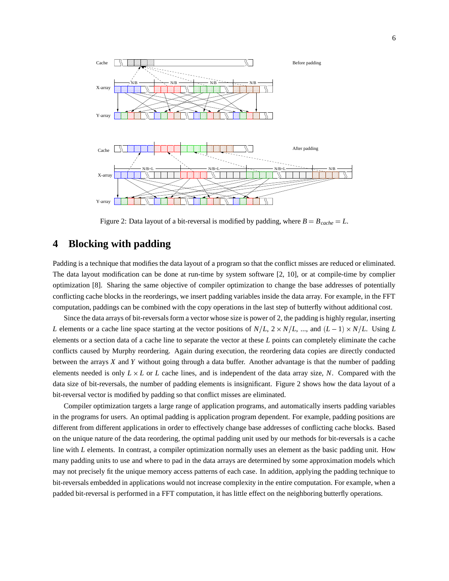

Figure 2: Data layout of a bit-reversal is modified by padding, where  $B = B_{cache} = L$ .

# **4 Blocking with padding**

Padding is a technique that modifies the data layout of a program so that the conflict misses are reduced or eliminated. The data layout modification can be done at run-time by system software [2, 10], or at compile-time by complier optimization [8]. Sharing the same objective of compiler optimization to change the base addresses of potentially conflicting cache blocks in the reorderings, we insert padding variables inside the data array. For example, in the FFT computation, paddings can be combined with the copy operations in the last step of butterfly without additional cost.

Since the data arrays of bit-reversals form a vector whose size is power of 2, the padding is highly regular, inserting *L* elements or a cache line space starting at the vector positions of  $N/L$ ,  $2 \times N/L$ , ..., and  $(L-1) \times N/L$ . Using *L* elements or a section data of a cache line to separate the vector at these *L* points can completely eliminate the cache conflicts caused by Murphy reordering. Again during execution, the reordering data copies are directly conducted between the arrays *X* and *Y* without going through a data buffer. Another advantage is that the number of padding elements needed is only  $L \times L$  or  $L$  cache lines, and is independent of the data array size, N. Compared with the data size of bit-reversals, the number of padding elements is insignificant. Figure 2 shows how the data layout of a bit-reversal vector is modified by padding so that conflict misses are eliminated.

Compiler optimization targets a large range of application programs, and automatically inserts padding variables in the programs for users. An optimal padding is application program dependent. For example, padding positions are different from different applications in order to effectively change base addresses of conflicting cache blocks. Based on the unique nature of the data reordering, the optimal padding unit used by our methods for bit-reversals is a cache line with *L* elements. In contrast, a compiler optimization normally uses an element as the basic padding unit. How many padding units to use and where to pad in the data arrays are determined by some approximation models which may not precisely fit the unique memory access patterns of each case. In addition, applying the padding technique to bit-reversals embedded in applications would not increase complexity in the entire computation. For example, when a padded bit-reversal is performed in a FFT computation, it has little effect on the neighboring butterfly operations.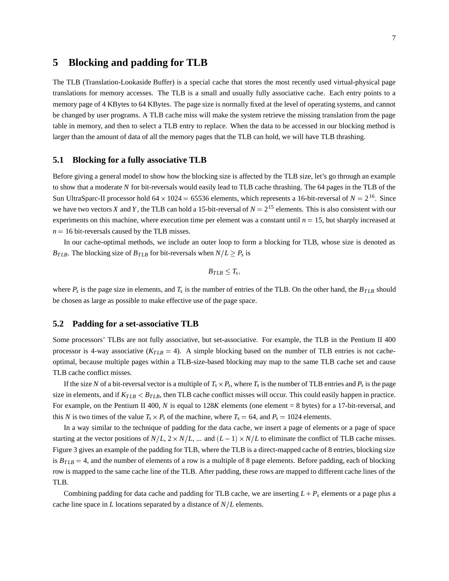## **5 Blocking and padding for TLB**

The TLB (Translation-Lookaside Buffer) is a special cache that stores the most recently used virtual-physical page translations for memory accesses. The TLB is a small and usually fully associative cache. Each entry points to a memory page of 4 KBytes to 64 KBytes. The page size is normally fixed at the level of operating systems, and cannot be changed by user programs. A TLB cache miss will make the system retrieve the missing translation from the page table in memory, and then to select a TLB entry to replace. When the data to be accessed in our blocking method is larger than the amount of data of all the memory pages that the TLB can hold, we will have TLB thrashing.

### **5.1 Blocking for a fully associative TLB**

Before giving a general model to show how the blocking size is affected by the TLB size, let's go through an example to show that a moderate *N* for bit-reversals would easily lead to TLB cache thrashing. The 64 pages in the TLB of the Sun UltraSparc-II processor hold  $64 \times 1024 = 65536$  elements, which represents a 16-bit-reversal of  $N = 2^{16}$ . Since we have two vectors *X* and *Y*, the TLB can hold a 15-bit-reversal of  $N = 2^{15}$  elements. This is also consistent with our experiments on this machine, where execution time per element was a constant until  $n = 15$ , but sharply increased at  $n = 16$  bit-reversals caused by the TLB misses.

In our cache-optimal methods, we include an outer loop to form a blocking for TLB, whose size is denoted as *B<sub>TLB</sub>*. The blocking size of *B<sub>TLB</sub>* for bit-reversals when  $N/L \ge P_s$  is

$$
B_{TLB}\leq T_s,
$$

where  $P_s$  is the page size in elements, and  $T_s$  is the number of entries of the TLB. On the other hand, the  $B_{TLB}$  should be chosen as large as possible to make effective use of the page space.

#### **5.2 Padding for a set-associative TLB**

Some processors' TLBs are not fully associative, but set-associative. For example, the TLB in the Pentium II 400 processor is 4-way associative  $(K_{TLB} = 4)$ . A simple blocking based on the number of TLB entries is not cacheoptimal, because multiple pages within a TLB-size-based blocking may map to the same TLB cache set and cause TLB cache conflict misses.

If the size *N* of a bit-reversal vector is a multiple of  $T_s \times P_s$ , where  $T_s$  is the number of TLB entries and  $P_s$  is the page size in elements, and if  $K_{TLB} < B_{TLB}$ , then TLB cache conflict misses will occur. This could easily happen in practice. For example, on the Pentium II 400, N is equal to 128*K* elements (one element = 8 bytes) for a 17-bit-reversal, and this *N* is two times of the value  $T_s \times P_s$  of the machine, where  $T_s = 64$ , and  $P_s = 1024$  elements.

In a way similar to the technique of padding for the data cache, we insert a page of elements or a page of space starting at the vector positions of  $N/L$ ,  $2 \times N/L$ , ... and  $(L-1) \times N/L$  to eliminate the conflict of TLB cache misses. Figure 3 gives an example of the padding for TLB, where the TLB is a direct-mapped cache of 8 entries, blocking size is  $B_{TLB} = 4$ , and the number of elements of a row is a multiple of 8 page elements. Before padding, each of blocking row is mapped to the same cache line of the TLB. After padding, these rows are mapped to different cache lines of the TLB.

Combining padding for data cache and padding for TLB cache, we are inserting  $L + P_s$  elements or a page plus a cache line space in *L* locations separated by a distance of  $N/L$  elements.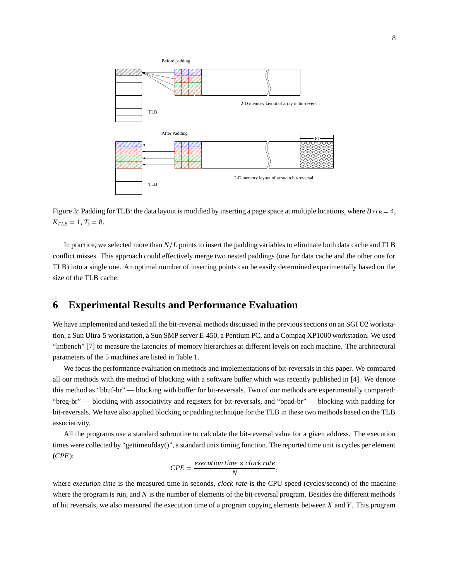

Figure 3: Padding for TLB: the data layout is modified by inserting a page space at multiple locations, where  $B_{TLB} = 4$ ,  $K_{TLB} = 1, T_s = 8.$ 

In practice, we selected more than *N*/*L* points to insert the padding variables to eliminate both data cache and TLB conflict misses. This approach could effectively merge two nested paddings (one for data cache and the other one for TLB) into a single one. An optimal number of inserting points can be easily determined experimentally based on the size of the TLB cache.

# **6 Experimental Results and Performance Evaluation**

We have implemented and tested all the bit-reversal methods discussed in the previous sections on an SGI O2 workstation, a Sun Ultra-5 workstation, a Sun SMP server E-450, a Pentium PC, and a Compaq XP1000 workstation. We used "lmbench" [7] to measure the latencies of memory hierarchies at different levels on each machine. The architectural parameters of the 5 machines are listed in Table 1.

We focus the performance evaluation on methods and implementations of bit-reversals in this paper. We compared all our methods with the method of blocking with a software buffer which was recently published in [4]. We denote this method as "bbuf-br" — blocking with buffer for bit-reversals. Two of our methods are experimentally compared: "breg-br" — blocking with associativity and registers for bit-reversals, and "bpad-br" — blocking with padding for bit-reversals. We have also applied blocking or padding technique for the TLB in these two methods based on the TLB associativity.

All the programs use a standard subroutine to calculate the bit-reversal value for a given address. The execution times were collected by "gettimeofday()", a standard unix timing function. The reported time unit is cycles per element (*CPE*):

$$
CPE = \frac{execution \ time \times clock \ rate}{N},
$$

where *execution time* is the measured time in seconds, *clock rate* is the CPU speed (cycles/second) of the machine where the program is run, and *N* is the number of elements of the bit-reversal program. Besides the different methods of bit reversals, we also measured the execution time of a program copying elements between *X* and *Y*. This program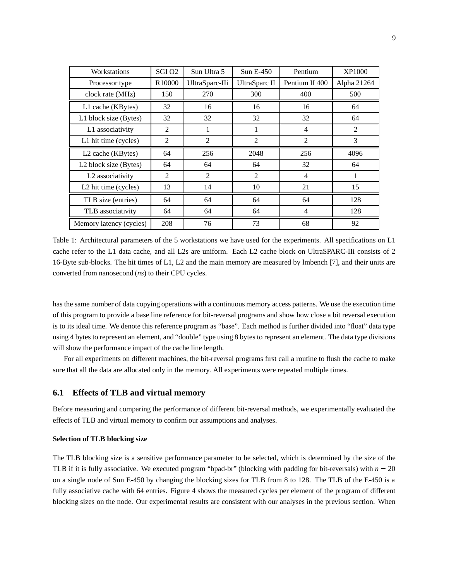| Workstations                      | SGI <sub>O2</sub>  | Sun Ultra 5    | $SunE-450$           | Pentium        |             |
|-----------------------------------|--------------------|----------------|----------------------|----------------|-------------|
| Processor type                    | R <sub>10000</sub> | UltraSparc-IIi | <b>UltraSparc II</b> | Pentium II 400 | Alpha 21264 |
| clock rate (MHz)                  | 150                | 270            | 300                  | 400            | 500         |
| L1 cache (KBytes)                 | 32                 | 16             | 16                   | 16             | 64          |
| L1 block size (Bytes)             | 32                 | 32             | 32                   | 32             | 64          |
| L1 associativity                  | 2                  | 1              | 1                    | 4              | 2           |
| L1 hit time (cycles)              | 2                  | $\overline{2}$ | $\overline{c}$       | $\overline{2}$ | 3           |
| L <sub>2</sub> cache (KBytes)     | 64                 | 256            | 2048                 | 256            | 4096        |
| L <sub>2</sub> block size (Bytes) | 64                 | 64             | 64                   | 32             | 64          |
| L2 associativity                  | $\mathfrak{D}$     | $\mathfrak{D}$ | $\mathfrak{D}$       | 4              |             |
| L <sub>2</sub> hit time (cycles)  | 13                 | 14             | 10                   | 21             | 15          |
| TLB size (entries)                | 64                 | 64             | 64                   | 64             | 128         |
| TLB associativity                 | 64                 | 64             | 64                   | 4              | 128         |
| Memory latency (cycles)           | 208                | 76             | 73                   | 68             | 92          |

Table 1: Architectural parameters of the 5 workstations we have used for the experiments. All specifications on L1 cache refer to the L1 data cache, and all L2s are uniform. Each L2 cache block on UltraSPARC-IIi consists of 2 16-Byte sub-blocks. The hit times of L1, L2 and the main memory are measured by lmbench [7], and their units are converted from nanosecond (*ns*) to their CPU cycles.

has the same number of data copying operations with a continuous memory access patterns. We use the execution time of this program to provide a base line reference for bit-reversal programs and show how close a bit reversal execution is to its ideal time. We denote this reference program as "base". Each method is further divided into "float" data type using 4 bytes to represent an element, and "double" type using 8 bytes to represent an element. The data type divisions will show the performance impact of the cache line length.

For all experiments on different machines, the bit-reversal programs first call a routine to flush the cache to make sure that all the data are allocated only in the memory. All experiments were repeated multiple times.

### **6.1 Effects of TLB and virtual memory**

Before measuring and comparing the performance of different bit-reversal methods, we experimentally evaluated the effects of TLB and virtual memory to confirm our assumptions and analyses.

#### **Selection of TLB blocking size**

The TLB blocking size is a sensitive performance parameter to be selected, which is determined by the size of the TLB if it is fully associative. We executed program "bpad-br" (blocking with padding for bit-reversals) with  $n = 20$ on a single node of Sun E-450 by changing the blocking sizes for TLB from 8 to 128. The TLB of the E-450 is a fully associative cache with 64 entries. Figure 4 shows the measured cycles per element of the program of different blocking sizes on the node. Our experimental results are consistent with our analyses in the previous section. When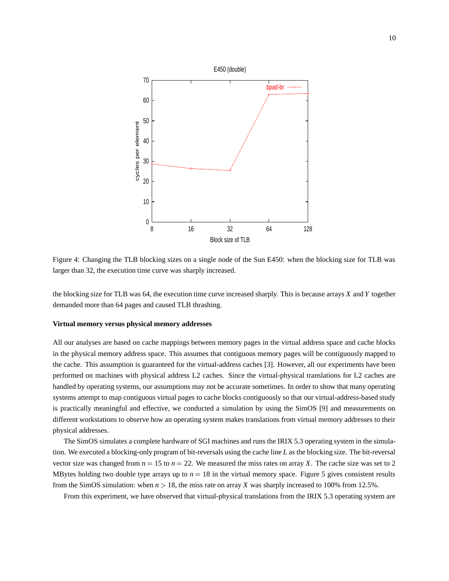

Figure 4: Changing the TLB blocking sizes on a single node of the Sun E450: when the blocking size for TLB was larger than 32, the execution time curve was sharply increased.

the blocking size for TLB was 64, the execution time curve increased sharply. This is because arrays *X* and *Y* together demanded more than 64 pages and caused TLB thrashing.

#### **Virtual memory versus physical memory addresses**

All our analyses are based on cache mappings between memory pages in the virtual address space and cache blocks in the physical memory address space. This assumes that contiguous memory pages will be contiguously mapped to the cache. This assumption is guaranteed for the virtual-address caches [3]. However, all our experiments have been performed on machines with physical address L2 caches. Since the virtual-physical translations for L2 caches are handled by operating systems, our assumptions may not be accurate sometimes. In order to show that many operating systems attempt to map contiguous virtual pages to cache blocks contiguously so that our virtual-address-based study is practically meaningful and effective, we conducted a simulation by using the SimOS [9] and measurements on different workstations to observe how an operating system makes translations from virtual memory addresses to their physical addresses.

The SimOS simulates a complete hardware of SGI machines and runs the IRIX 5.3 operating system in the simulation. We executed a blocking-only program of bit-reversals using the cache line *L* as the blocking size. The bit-reversal vector size was changed from  $n = 15$  to  $n = 22$ . We measured the miss rates on array *X*. The cache size was set to 2 MBytes holding two double type arrays up to  $n = 18$  in the virtual memory space. Figure 5 gives consistent results from the SimOS simulation: when  $n > 18$ , the miss rate on array *X* was sharply increased to 100% from 12.5%.

From this experiment, we have observed that virtual-physical translations from the IRIX 5.3 operating system are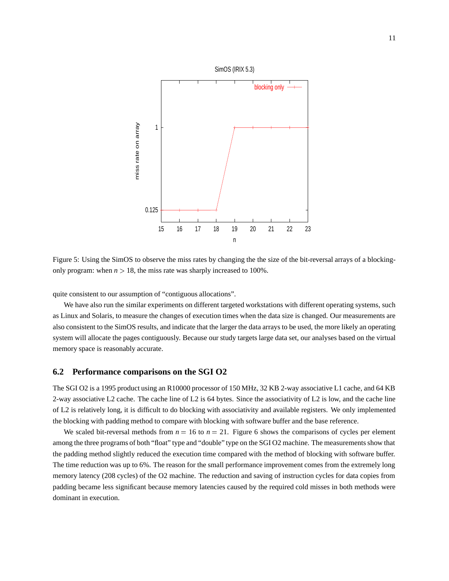

Figure 5: Using the SimOS to observe the miss rates by changing the the size of the bit-reversal arrays of a blockingonly program: when  $n > 18$ , the miss rate was sharply increased to 100%.

quite consistent to our assumption of "contiguous allocations".

We have also run the similar experiments on different targeted workstations with different operating systems, such as Linux and Solaris, to measure the changes of execution times when the data size is changed. Our measurements are also consistent to the SimOS results, and indicate that the larger the data arrays to be used, the more likely an operating system will allocate the pages contiguously. Because our study targets large data set, our analyses based on the virtual memory space is reasonably accurate.

### **6.2 Performance comparisons on the SGI O2**

The SGI O2 is a 1995 product using an R10000 processor of 150 MHz, 32 KB 2-way associative L1 cache, and 64 KB 2-way associative L2 cache. The cache line of L2 is 64 bytes. Since the associativity of L2 is low, and the cache line of L2 is relatively long, it is difficult to do blocking with associativity and available registers. We only implemented the blocking with padding method to compare with blocking with software buffer and the base reference.

We scaled bit-reversal methods from  $n = 16$  to  $n = 21$ . Figure 6 shows the comparisons of cycles per element among the three programs of both "float" type and "double" type on the SGI O2 machine. The measurements show that the padding method slightly reduced the execution time compared with the method of blocking with software buffer. The time reduction was up to 6%. The reason for the small performance improvement comes from the extremely long memory latency (208 cycles) of the O2 machine. The reduction and saving of instruction cycles for data copies from padding became less significant because memory latencies caused by the required cold misses in both methods were dominant in execution.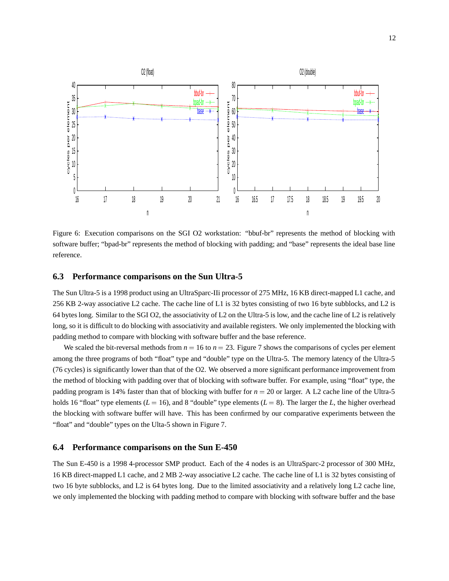

Figure 6: Execution comparisons on the SGI O2 workstation: "bbuf-br" represents the method of blocking with software buffer; "bpad-br" represents the method of blocking with padding; and "base" represents the ideal base line reference.

### **6.3 Performance comparisons on the Sun Ultra-5**

The Sun Ultra-5 is a 1998 product using an UltraSparc-IIi processor of 275 MHz, 16 KB direct-mapped L1 cache, and 256 KB 2-way associative L2 cache. The cache line of L1 is 32 bytes consisting of two 16 byte subblocks, and L2 is 64 bytes long. Similar to the SGI O2, the associativity of L2 on the Ultra-5 is low, and the cache line of L2 is relatively long, so it is difficult to do blocking with associativity and available registers. We only implemented the blocking with padding method to compare with blocking with software buffer and the base reference.

We scaled the bit-reversal methods from  $n = 16$  to  $n = 23$ . Figure 7 shows the comparisons of cycles per element among the three programs of both "float" type and "double" type on the Ultra-5. The memory latency of the Ultra-5 (76 cycles) is significantly lower than that of the O2. We observed a more significant performance improvement from the method of blocking with padding over that of blocking with software buffer. For example, using "float" type, the padding program is 14% faster than that of blocking with buffer for  $n = 20$  or larger. A L2 cache line of the Ultra-5 holds 16 "float" type elements ( $L = 16$ ), and 8 "double" type elements ( $L = 8$ ). The larger the  $L$ , the higher overhead the blocking with software buffer will have. This has been confirmed by our comparative experiments between the "float" and "double" types on the Ulta-5 shown in Figure 7.

### **6.4 Performance comparisons on the Sun E-450**

The Sun E-450 is a 1998 4-processor SMP product. Each of the 4 nodes is an UltraSparc-2 processor of 300 MHz, 16 KB direct-mapped L1 cache, and 2 MB 2-way associative L2 cache. The cache line of L1 is 32 bytes consisting of two 16 byte subblocks, and L2 is 64 bytes long. Due to the limited associativity and a relatively long L2 cache line, we only implemented the blocking with padding method to compare with blocking with software buffer and the base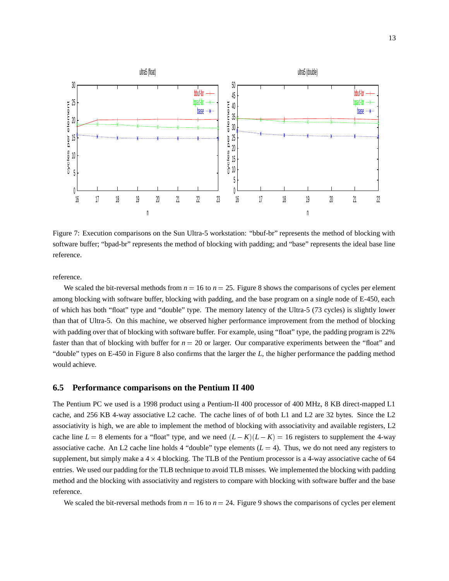

Figure 7: Execution comparisons on the Sun Ultra-5 workstation: "bbuf-br" represents the method of blocking with software buffer; "bpad-br" represents the method of blocking with padding; and "base" represents the ideal base line reference.

reference.

We scaled the bit-reversal methods from  $n = 16$  to  $n = 25$ . Figure 8 shows the comparisons of cycles per element among blocking with software buffer, blocking with padding, and the base program on a single node of E-450, each of which has both "float" type and "double" type. The memory latency of the Ultra-5 (73 cycles) is slightly lower than that of Ultra-5. On this machine, we observed higher performance improvement from the method of blocking with padding over that of blocking with software buffer. For example, using "float" type, the padding program is 22% faster than that of blocking with buffer for  $n = 20$  or larger. Our comparative experiments between the "float" and "double" types on E-450 in Figure 8 also confirms that the larger the *L*, the higher performance the padding method would achieve.

### **6.5 Performance comparisons on the Pentium II 400**

The Pentium PC we used is a 1998 product using a Pentium-II 400 processor of 400 MHz, 8 KB direct-mapped L1 cache, and 256 KB 4-way associative L2 cache. The cache lines of of both L1 and L2 are 32 bytes. Since the L2 associativity is high, we are able to implement the method of blocking with associativity and available registers, L2 cache line  $L = 8$  elements for a "float" type, and we need  $(L - K)(L - K) = 16$  registers to supplement the 4-way associative cache. An L2 cache line holds 4 "double" type elements  $(L = 4)$ . Thus, we do not need any registers to supplement, but simply make a  $4 \times 4$  blocking. The TLB of the Pentium processor is a 4-way associative cache of 64 entries. We used our padding for the TLB technique to avoid TLB misses. We implemented the blocking with padding method and the blocking with associativity and registers to compare with blocking with software buffer and the base reference.

We scaled the bit-reversal methods from  $n = 16$  to  $n = 24$ . Figure 9 shows the comparisons of cycles per element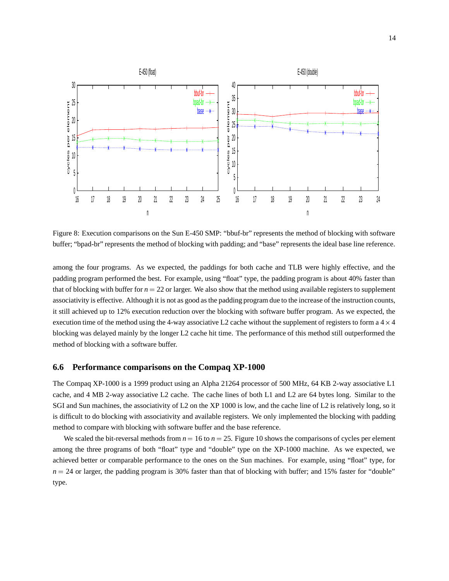

Figure 8: Execution comparisons on the Sun E-450 SMP: "bbuf-br" represents the method of blocking with software buffer; "bpad-br" represents the method of blocking with padding; and "base" represents the ideal base line reference.

among the four programs. As we expected, the paddings for both cache and TLB were highly effective, and the padding program performed the best. For example, using "float" type, the padding program is about 40% faster than that of blocking with buffer for  $n = 22$  or larger. We also show that the method using available registers to supplement associativity is effective. Although it is not as good as the padding program due to the increase of the instruction counts, it still achieved up to 12% execution reduction over the blocking with software buffer program. As we expected, the execution time of the method using the 4-way associative L2 cache without the supplement of registers to form a  $4 \times 4$ blocking was delayed mainly by the longer L2 cache hit time. The performance of this method still outperformed the method of blocking with a software buffer.

### **6.6 Performance comparisons on the Compaq XP-1000**

The Compaq XP-1000 is a 1999 product using an Alpha 21264 processor of 500 MHz, 64 KB 2-way associative L1 cache, and 4 MB 2-way associative L2 cache. The cache lines of both L1 and L2 are 64 bytes long. Similar to the SGI and Sun machines, the associativity of L2 on the XP 1000 is low, and the cache line of L2 is relatively long, so it is difficult to do blocking with associativity and available registers. We only implemented the blocking with padding method to compare with blocking with software buffer and the base reference.

We scaled the bit-reversal methods from  $n = 16$  to  $n = 25$ . Figure 10 shows the comparisons of cycles per element among the three programs of both "float" type and "double" type on the XP-1000 machine. As we expected, we achieved better or comparable performance to the ones on the Sun machines. For example, using "float" type, for  $n = 24$  or larger, the padding program is 30% faster than that of blocking with buffer; and 15% faster for "double" type.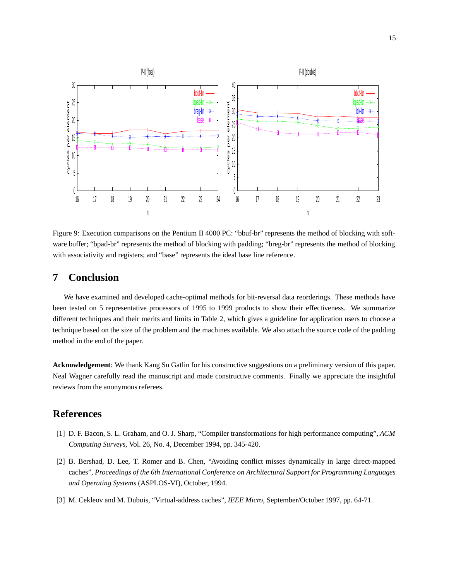

Figure 9: Execution comparisons on the Pentium II 4000 PC: "bbuf-br" represents the method of blocking with software buffer; "bpad-br" represents the method of blocking with padding; "breg-br" represents the method of blocking with associativity and registers; and "base" represents the ideal base line reference.

# **7 Conclusion**

We have examined and developed cache-optimal methods for bit-reversal data reorderings. These methods have been tested on 5 representative processors of 1995 to 1999 products to show their effectiveness. We summarize different techniques and their merits and limits in Table 2, which gives a guideline for application users to choose a technique based on the size of the problem and the machines available. We also attach the source code of the padding method in the end of the paper.

**Acknowledgement**: We thank Kang Su Gatlin for his constructive suggestions on a preliminary version of this paper. Neal Wagner carefully read the manuscript and made constructive comments. Finally we appreciate the insightful reviews from the anonymous referees.

# **References**

- [1] D. F. Bacon, S. L. Graham, and O. J. Sharp, "Compiler transformations for high performance computing", *ACM Computing Surveys*, Vol. 26, No. 4, December 1994, pp. 345-420.
- [2] B. Bershad, D. Lee, T. Romer and B. Chen, "Avoiding conflict misses dynamically in large direct-mapped caches", *Proceedings of the 6th International Conference on Architectural Support for Programming Languages and Operating Systems* (ASPLOS-VI), October, 1994.
- [3] M. Cekleov and M. Dubois, "Virtual-address caches", *IEEE Micro*, September/October 1997, pp. 64-71.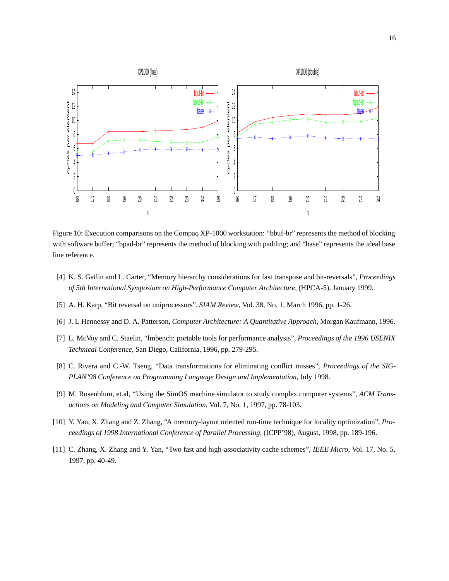

Figure 10: Execution comparisons on the Compaq XP-1000 workstation: "bbuf-br" represents the method of blocking with software buffer; "bpad-br" represents the method of blocking with padding; and "base" represents the ideal base line reference.

- [4] K. S. Gatlin and L. Carter, "Memory hierarchy considerations for fast transpose and bit-reversals", *Proceedings of 5th International Symposium on High-Performance Computer Architecture*, (HPCA-5), January 1999.
- [5] A. H. Karp, "Bit reversal on uniprocessors", *SIAM Review*, Vol. 38, No. 1, March 1996, pp. 1-26.
- [6] J. L Hennessy and D. A. Patterson, *Computer Architecture: A Quantitative Approach*, Morgan Kaufmann, 1996.
- [7] L. McVoy and C. Staelin, "lmbench: portable tools for performance analysis", *Proceedings of the 1996 USENIX Technical Conference*, San Diego, California, 1996, pp. 279-295.
- [8] C. Rivera and C.-W. Tseng, "Data transformations for eliminating conflict misses", *Proceedings of the SIG-PLAN'98 Conference on Programming Language Design and Implementation*, July 1998.
- [9] M. Rosenblum, et.al, "Using the SimOS machine simulator to study complex computer systems", *ACM Transactions on Modeling and Computer Simulation*, Vol. 7, No. 1, 1997, pp. 78-103.
- [10] Y. Yan, X. Zhang and Z. Zhang, "A memory-layout oriented run-time technique for locality optimization", *Proceedings of 1998 International Conference of Parallel Processing*, (ICPP'98), August, 1998, pp. 189-196.
- [11] C. Zhang, X. Zhang and Y. Yan, "Two fast and high-associativity cache schemes", *IEEE Micro*, Vol. 17, No. 5, 1997, pp. 40-49.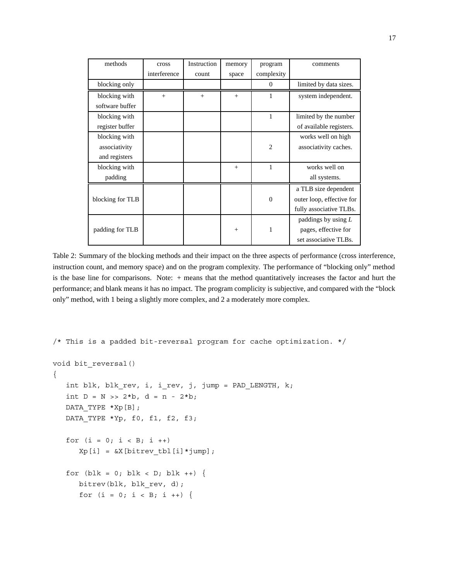| methods          | cross        | Instruction | memory | program        | comments                  |
|------------------|--------------|-------------|--------|----------------|---------------------------|
|                  | interference | count       | space  | complexity     |                           |
| blocking only    |              |             |        | $\overline{0}$ | limited by data sizes.    |
| blocking with    | $^{+}$       | $+$         | $+$    | 1              | system independent.       |
| software buffer  |              |             |        |                |                           |
| blocking with    |              |             |        | 1              | limited by the number     |
| register buffer  |              |             |        |                | of available registers.   |
| blocking with    |              |             |        |                | works well on high        |
| associativity    |              |             |        | $\overline{2}$ | associativity caches.     |
| and registers    |              |             |        |                |                           |
| blocking with    |              |             | $^{+}$ | 1              | works well on             |
| padding          |              |             |        |                | all systems.              |
|                  |              |             |        |                | a TLB size dependent      |
| blocking for TLB |              |             |        | $\theta$       | outer loop, effective for |
|                  |              |             |        |                | fully associative TLBs.   |
|                  |              |             |        |                | paddings by using $L$     |
| padding for TLB  |              |             | $+$    | 1              | pages, effective for      |
|                  |              |             |        |                | set associative TLBs.     |

Table 2: Summary of the blocking methods and their impact on the three aspects of performance (cross interference, instruction count, and memory space) and on the program complexity. The performance of "blocking only" method is the base line for comparisons. Note: + means that the method quantitatively increases the factor and hurt the performance; and blank means it has no impact. The program complicity is subjective, and compared with the "block only" method, with 1 being a slightly more complex, and 2 a moderately more complex.

```
/* This is a padded bit-reversal program for cache optimization. */
void bit_reversal()
{
   int blk, blk_rev, i, i_rev, j, jump = PAD_LENGTH, k;
   int D = N \gg 2 * b, d = n - 2 * b;
  DATA_TYPE *Xp[B];
   DATA_TYPE *Yp, f0, f1, f2, f3;
   for (i = 0; i < B; i++)Xp[i] = \&X[bitrev~tbl[i]*jump];for (blk = 0; blk < D; blk ++) {
      bitrev(blk, blk rev, d);
      for (i = 0; i < B; i++) {
```